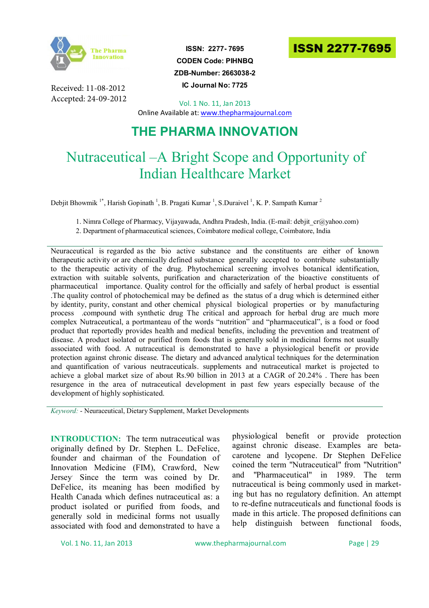

Received: 11-08-2012 Accepted: 24-09-2012

**ISSN: 2277- 7695 CODEN Code: PIHNBQ ZDB-Number: 2663038-2 IC Journal No: 7725**



Vol. 1 No. 11, Jan 2013 Online Available at: www.thepharmajournal.com

# **THE PHARMA INNOVATION**

# Nutraceutical –A Bright Scope and Opportunity of Indian Healthcare Market

Debjit Bhowmik <sup>1\*</sup>, Harish Gopinath<sup>1</sup>, B. Pragati Kumar<sup>1</sup>, S.Duraivel<sup>1</sup>, K. P. Sampath Kumar<sup>2</sup>

1. Nimra College of Pharmacy, Vijayawada, Andhra Pradesh, India. (E-mail: debjit\_cr@yahoo.com)

2. Department of pharmaceutical sciences, Coimbatore medical college, Coimbatore, India

Neuraceutical is regarded as the bio active substance and the constituents are either of known therapeutic activity or are chemically defined substance generally accepted to contribute substantially to the therapeutic activity of the drug. Phytochemical screening involves botanical identification, extraction with suitable solvents, purification and characterization of the bioactive constituents of pharmaceutical importance. Quality control for the officially and safely of herbal product is essential .The quality control of photochemical may be defined as the status of a drug which is determined either by identity, purity, constant and other chemical physical biological properties or by manufacturing process .compound with synthetic drug The critical and approach for herbal drug are much more complex Nutraceutical, a portmanteau of the words "nutrition" and "pharmaceutical", is a food or food product that reportedly provides health and medical benefits, including the prevention and treatment of disease. A product isolated or purified from foods that is generally sold in medicinal forms not usually associated with food. A nutraceutical is demonstrated to have a physiological benefit or provide protection against chronic disease. The dietary and advanced analytical techniques for the determination and quantification of various neutraceuticals. supplements and nutraceutical market is projected to achieve a global market size of about Rs.90 billion in 2013 at a CAGR of 20.24% . There has been resurgence in the area of nutraceutical development in past few years especially because of the development of highly sophisticated.

*Keyword:* - Neuraceutical, Dietary Supplement, Market Developments

**INTRODUCTION:** The term nutraceutical was originally defined by Dr. Stephen L. DeFelice, founder and chairman of the Foundation of Innovation Medicine (FIM), Crawford, New Jersey. Since the term was coined by Dr. DeFelice, its meaning has been modified by Health Canada which defines nutraceutical as: a product isolated or purified from foods, and generally sold in medicinal forms not usually associated with food and demonstrated to have a physiological benefit or provide protection against chronic disease. Examples are betacarotene and lycopene. Dr Stephen DeFelice coined the term "Nutraceutical" from "Nutrition" and "Pharmaceutical" in 1989. The term nutraceutical is being commonly used in marketing but has no regulatory definition. An attempt to re-define nutraceuticals and functional foods is made in this article. The proposed definitions can help distinguish between functional foods,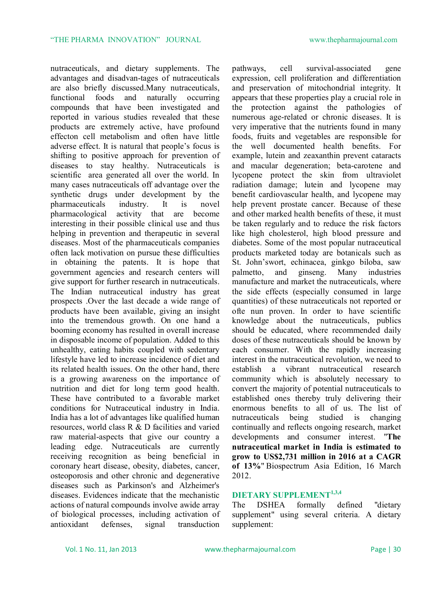nutraceuticals, and dietary supplements. The advantages and disadvan-tages of nutraceuticals are also briefly discussed.Many nutraceuticals, functional foods and naturally occurring compounds that have been investigated and reported in various studies revealed that these products are extremely active, have profound effecton cell metabolism and often have little adverse effect. It is natural that people's focus is shifting to positive approach for prevention of diseases to stay healthy. Nutraceuticals is scientific area generated all over the world. In many cases nutraceuticals off advantage over the synthetic drugs under development by the pharmaceuticals industry. It is novel pharmacological activity that are become interesting in their possible clinical use and thus helping in prevention and therapeutic in several diseases. Most of the pharmaceuticals companies often lack motivation on pursue these difficulties in obtaining the patents. It is hope that government agencies and research centers will give support for further research in nutraceuticals. The Indian nutraceutical industry has great prospects .Over the last decade a wide range of products have been available, giving an insight into the tremendous growth. On one hand a booming economy has resulted in overall increase in disposable income of population. Added to this unhealthy, eating habits coupled with sedentary lifestyle have led to increase incidence of diet and its related health issues. On the other hand, there is a growing awareness on the importance of nutrition and diet for long term good health. These have contributed to a favorable market conditions for Nutraceutical industry in India. India has a lot of advantages like qualified human resources, world class R & D facilities and varied raw material-aspects that give our country a leading edge. Nutraceuticals are currently receiving recognition as being beneficial in coronary heart disease, obesity, diabetes, cancer, osteoporosis and other chronic and degenerative diseases such as Parkinson's and Alzheimer's diseases. Evidences indicate that the mechanistic actions of natural compounds involve awide array of biological processes, including activation of antioxidant defenses, signal transduction

pathways, cell survival-associated gene expression, cell proliferation and differentiation and preservation of mitochondrial integrity. It appears that these properties play a crucial role in the protection against the pathologies of numerous age-related or chronic diseases. It is very imperative that the nutrients found in many foods, fruits and vegetables are responsible for the well documented health benefits. For example, lutein and zeaxanthin prevent cataracts and macular degeneration; beta-carotene and lycopene protect the skin from ultraviolet radiation damage; lutein and lycopene may benefit cardiovascular health, and lycopene may help prevent prostate cancer. Because of these and other marked health benefits of these, it must be taken regularly and to reduce the risk factors like high cholesterol, high blood pressure and diabetes. Some of the most popular nutraceutical products marketed today are botanicals such as St. John'swort, echinacea, ginkgo biloba, saw palmetto, and ginseng. Many industries manufacture and market the nutraceuticals, where the side effects (especially consumed in large quantities) of these nutraceuticals not reported or ofte nun proven. In order to have scientific knowledge about the nutraceuticals, publics should be educated, where recommended daily doses of these nutraceuticals should be known by each consumer. With the rapidly increasing interest in the nutraceutical revolution, we need to establish a vibrant nutraceutical research community which is absolutely necessary to convert the majority of potential nutraceuticals to established ones thereby truly delivering their enormous benefits to all of us. The list of nutraceuticals being studied is changing continually and reflects ongoing research, market developments and consumer interest. "**The nutraceutical market in India is estimated to grow to US\$2,731 million in 2016 at a CAGR of 13%**" Biospectrum Asia Edition, 16 March 2012.

#### **DIETARY SUPPLEMENT1,3,4**

The DSHEA formally defined "dietary supplement" using several criteria. A dietary supplement: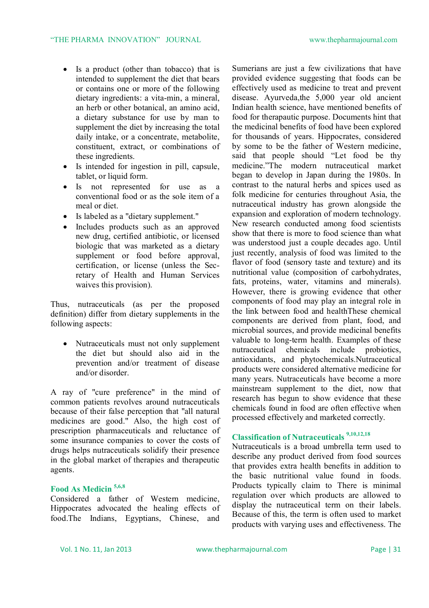- Is a product (other than tobacco) that is intended to supplement the diet that bears or contains one or more of the following dietary ingredients: a vita-min, a mineral, an herb or other botanical, an amino acid, a dietary substance for use by man to supplement the diet by increasing the total daily intake, or a concentrate, metabolite, constituent, extract, or combinations of these ingredients.
- Is intended for ingestion in pill, capsule, tablet, or liquid form.
- Is not represented for use as a conventional food or as the sole item of a meal or diet.
- Is labeled as a "dietary supplement."
- Includes products such as an approved new drug, certified antibiotic, or licensed biologic that was marketed as a dietary supplement or food before approval, certification, or license (unless the Secretary of Health and Human Services waives this provision).

Thus, nutraceuticals (as per the proposed definition) differ from dietary supplements in the following aspects:

• Nutraceuticals must not only supplement the diet but should also aid in the prevention and/or treatment of disease and/or disorder.

A ray of "cure preference" in the mind of common patients revolves around nutraceuticals because of their false perception that "all natural medicines are good." Also, the high cost of prescription pharmaceuticals and reluctance of some insurance companies to cover the costs of drugs helps nutraceuticals solidify their presence in the global market of therapies and therapeutic agents.

### **Food As Medicin 5,6,8**

Considered a father of Western medicine, Hippocrates advocated the healing effects of food.The Indians, Egyptians, Chinese, and

Sumerians are just a few civilizations that have provided evidence suggesting that foods can be effectively used as medicine to treat and prevent disease. Ayurveda,the 5,000 year old ancient Indian health science, have mentioned benefits of food for therapautic purpose. Documents hint that the medicinal benefits of food have been explored for thousands of years. Hippocrates, considered by some to be the father of Western medicine, said that people should "Let food be thy medicine."The modern nutraceutical market began to develop in Japan during the 1980s. In contrast to the natural herbs and spices used as folk medicine for centuries throughout Asia, the nutraceutical industry has grown alongside the expansion and exploration of modern technology. New research conducted among food scientists show that there is more to food science than what was understood just a couple decades ago. Until just recently, analysis of food was limited to the flavor of food (sensory taste and texture) and its nutritional value (composition of carbohydrates, fats, proteins, water, vitamins and minerals). However, there is growing evidence that other components of food may play an integral role in the link between food and healthThese chemical components are derived from plant, food, and microbial sources, and provide medicinal benefits valuable to long-term health. Examples of these nutraceutical chemicals include probiotics, antioxidants, and phytochemicals.Nutraceutical products were considered alternative medicine for many years. Nutraceuticals have become a more mainstream supplement to the diet, now that research has begun to show evidence that these chemicals found in food are often effective when processed effectively and marketed correctly.

## **Classification of Nutraceuticals 9,10,12,18**

Nutraceuticals is a broad umbrella term used to describe any product derived from food sources that provides extra health benefits in addition to the basic nutritional value found in foods. Products typically claim to There is minimal regulation over which products are allowed to display the nutraceutical term on their labels. Because of this, the term is often used to market products with varying uses and effectiveness. The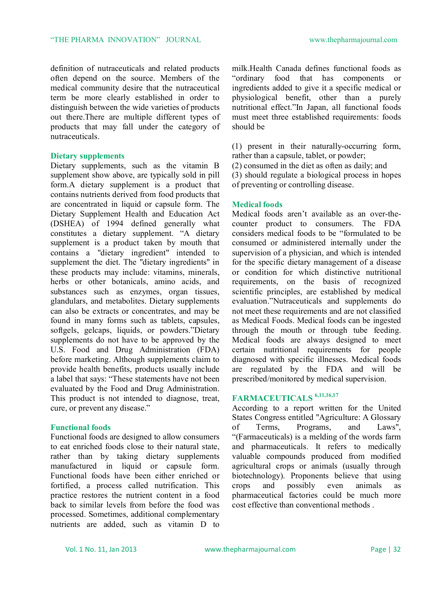definition of nutraceuticals and related products often depend on the source. Members of the medical community desire that the nutraceutical term be more clearly established in order to distinguish between the wide varieties of products out there.There are multiple different types of products that may fall under the category of nutraceuticals.

#### **Dietary supplements**

Dietary supplements, such as the vitamin B supplement show above, are typically sold in pill form.A dietary supplement is a product that contains nutrients derived from food products that are concentrated in liquid or capsule form. The Dietary Supplement Health and Education Act (DSHEA) of 1994 defined generally what constitutes a dietary supplement. "A dietary supplement is a product taken by mouth that contains a "dietary ingredient" intended to supplement the diet. The "dietary ingredients" in these products may include: vitamins, minerals, herbs or other botanicals, amino acids, and substances such as enzymes, organ tissues, glandulars, and metabolites. Dietary supplements can also be extracts or concentrates, and may be found in many forms such as tablets, capsules, softgels, gelcaps, liquids, or powders."Dietary supplements do not have to be approved by the U.S. Food and Drug Administration (FDA) before marketing. Although supplements claim to provide health benefits, products usually include a label that says: "These statements have not been evaluated by the Food and Drug Administration. This product is not intended to diagnose, treat, cure, or prevent any disease."

#### **Functional foods**

Functional foods are designed to allow consumers to eat enriched foods close to their natural state, rather than by taking dietary supplements manufactured in liquid or capsule form. Functional foods have been either enriched or fortified, a process called nutrification. This practice restores the nutrient content in a food back to similar levels from before the food was processed. Sometimes, additional complementary nutrients are added, such as vitamin D to milk.Health Canada defines functional foods as "ordinary food that has components or ingredients added to give it a specific medical or physiological benefit, other than a purely nutritional effect."In Japan, all functional foods must meet three established requirements: foods should be

(1) present in their naturally-occurring form, rather than a capsule, tablet, or powder;

(2) consumed in the diet as often as daily; and (3) should regulate a biological process in hopes of preventing or controlling disease.

#### **Medical foods**

Medical foods aren't available as an over-thecounter product to consumers. The FDA considers medical foods to be "formulated to be consumed or administered internally under the supervision of a physician, and which is intended for the specific dietary management of a disease or condition for which distinctive nutritional requirements, on the basis of recognized scientific principles, are established by medical evaluation."Nutraceuticals and supplements do not meet these requirements and are not classified as Medical Foods. Medical foods can be ingested through the mouth or through tube feeding. Medical foods are always designed to meet certain nutritional requirements for people diagnosed with specific illnesses. Medical foods are regulated by the FDA and will be prescribed/monitored by medical supervision.

#### **FARMACEUTICALS 6,11,16,17**

According to a report written for the United States Congress entitled "Agriculture: A Glossary<br>of Terms. Programs. and Laws" of Terms, Programs, and "(Farmaceuticals) is a melding of the words farm and pharmaceuticals. It refers to medically valuable compounds produced from modified agricultural crops or animals (usually through biotechnology). Proponents believe that using crops and possibly even animals as pharmaceutical factories could be much more cost effective than conventional methods .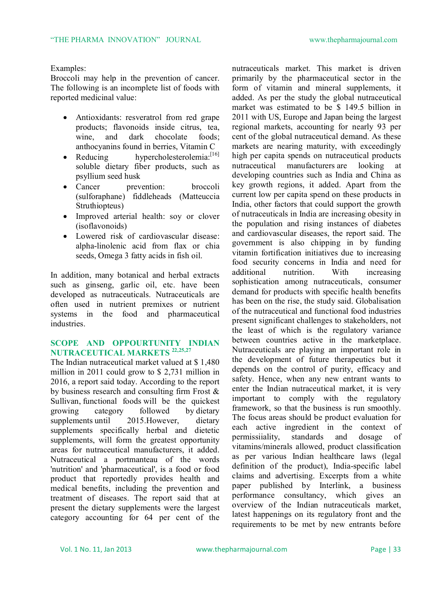#### Examples:

Broccoli may help in the prevention of cancer. The following is an incomplete list of foods with reported medicinal value:

- Antioxidants: resveratrol from red grape products; flavonoids inside citrus, tea, wine, and dark chocolate foods; anthocyanins found in berries, Vitamin C
- Reducing hypercholesterolemia:<sup>[16]</sup> soluble dietary fiber products, such as psyllium seed husk
- Cancer prevention: broccoli (sulforaphane) fiddleheads (Matteuccia Struthiopteus)
- Improved arterial health: soy or clover (isoflavonoids)
- Lowered risk of cardiovascular disease: alpha-linolenic acid from flax or chia seeds, Omega 3 fatty acids in fish oil.

In addition, many botanical and herbal extracts such as ginseng, garlic oil, etc. have been developed as nutraceuticals. Nutraceuticals are often used in nutrient premixes or nutrient systems in the food and pharmaceutical industries.

#### **SCOPE AND OPPOURTUNITY INDIAN NUTRACEUTICAL MARKETS 22,25,27**

The Indian nutraceutical market valued at \$ 1,480 million in 2011 could grow to \$ 2,731 million in 2016, a report said today. According to the report by business research and consulting firm Frost & Sullivan, functional foods will be the quickest growing category followed by dietary supplements until 2015. However, dietary supplements specifically herbal and dietetic supplements, will form the greatest opportunity areas for nutraceutical manufacturers, it added. Nutraceutical a portmanteau of the words 'nutrition' and 'pharmaceutical', is a food or food product that reportedly provides health and medical benefits, including the prevention and treatment of diseases. The report said that at present the dietary supplements were the largest category accounting for 64 per cent of the

nutraceuticals market. This market is driven primarily by the pharmaceutical sector in the form of vitamin and mineral supplements, it added. As per the study the global nutraceutical market was estimated to be \$ 149.5 billion in 2011 with US, Europe and Japan being the largest regional markets, accounting for nearly 93 per cent of the global nutraceutical demand. As these markets are nearing maturity, with exceedingly high per capita spends on nutraceutical products nutraceutical manufacturers are looking at developing countries such as India and China as key growth regions, it added. Apart from the current low per capita spend on these products in India, other factors that could support the growth of nutraceuticals in India are increasing obesity in the population and rising instances of diabetes and cardiovascular diseases, the report said. The government is also chipping in by funding vitamin fortification initiatives due to increasing food security concerns in India and need for additional nutrition. With increasing sophistication among nutraceuticals consumer demand for products with specific health benefits has been on the rise, the study said. Globalisation of the nutraceutical and functional food industries present significant challenges to stakeholders, not the least of which is the regulatory variance between countries active in the marketplace. Nutraceuticals are playing an important role in the development of future therapeutics but it depends on the control of purity, efficacy and safety. Hence, when any new entrant wants to enter the Indian nutraceutical market, it is very important to comply with the regulatory framework, so that the business is run smoothly. The focus areas should be product evaluation for each active ingredient in the context of permissiiality, standards and dosage of vitamins/minerals allowed, product classification as per various Indian healthcare laws (legal definition of the product), India-specific label claims and advertising. Excerpts from a white paper published by Interlink, a business performance consultancy, which gives an overview of the Indian nutraceuticals market, latest happenings on its regulatory front and the requirements to be met by new entrants before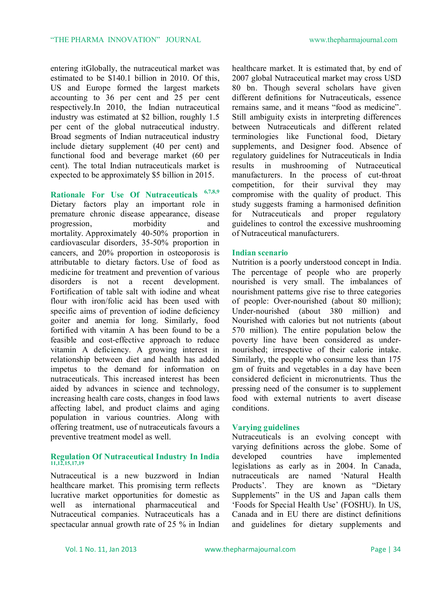entering itGlobally, the nutraceutical market was estimated to be \$140.1 billion in 2010. Of this, US and Europe formed the largest markets accounting to 36 per cent and 25 per cent respectively.In 2010, the Indian nutraceutical industry was estimated at \$2 billion, roughly 1.5 per cent of the global nutraceutical industry. Broad segments of Indian nutraceutical industry include dietary supplement (40 per cent) and functional food and beverage market (60 per cent). The total Indian nutraceuticals market is expected to be approximately \$5 billion in 2015.

**Rationale For Use Of Nutraceuticals 6,7,8,9** Dietary factors play an important role in premature chronic disease appearance, disease progression, morbidity and mortality. Approximately 40-50% proportion in cardiovascular disorders, 35-50% proportion in cancers, and 20% proportion in osteoporosis is attributable to dietary factors. Use of food as medicine for treatment and prevention of various disorders is not a recent development. Fortification of table salt with iodine and wheat flour with iron/folic acid has been used with specific aims of prevention of iodine deficiency goiter and anemia for long. Similarly, food fortified with vitamin A has been found to be a feasible and cost-effective approach to reduce vitamin A deficiency. A growing interest in relationship between diet and health has added impetus to the demand for information on nutraceuticals. This increased interest has been aided by advances in science and technology, increasing health care costs, changes in food laws affecting label, and product claims and aging population in various countries. Along with offering treatment, use of nutraceuticals favours a preventive treatment model as well.

#### **Regulation Of Nutraceutical Industry In India 11,12,15,17,19**

Nutraceutical is a new buzzword in Indian healthcare market. This promising term reflects lucrative market opportunities for domestic as well as international pharmaceutical and Nutraceutical companies. Nutraceuticals has a spectacular annual growth rate of 25 % in Indian

healthcare market. It is estimated that, by end of 2007 global Nutraceutical market may cross USD 80 bn. Though several scholars have given different definitions for Nutraceuticals, essence remains same, and it means "food as medicine". Still ambiguity exists in interpreting differences between Nutraceuticals and different related terminologies like Functional food, Dietary supplements, and Designer food. Absence of regulatory guidelines for Nutraceuticals in India results in mushrooming of Nutraceutical manufacturers. In the process of cut-throat competition, for their survival they may compromise with the quality of product. This study suggests framing a harmonised definition for Nutraceuticals and proper regulatory guidelines to control the excessive mushrooming of Nutraceutical manufacturers.

#### **Indian scenario**

Nutrition is a poorly understood concept in India. The percentage of people who are properly nourished is very small. The imbalances of nourishment patterns give rise to three categories of people: Over-nourished (about 80 million); Under-nourished (about 380 million) and Nourished with calories but not nutrients (about 570 million). The entire population below the poverty line have been considered as undernourished; irrespective of their calorie intake. Similarly, the people who consume less than 175 gm of fruits and vegetables in a day have been considered deficient in micronutrients. Thus the pressing need of the consumer is to supplement food with external nutrients to avert disease conditions.

#### **Varying guidelines**

Nutraceuticals is an evolving concept with varying definitions across the globe. Some of developed countries have implemented legislations as early as in 2004. In Canada, nutraceuticals are named 'Natural Health Products'. They are known as "Dietary Supplements" in the US and Japan calls them 'Foods for Special Health Use' (FOSHU). In US, Canada and in EU there are distinct definitions and guidelines for dietary supplements and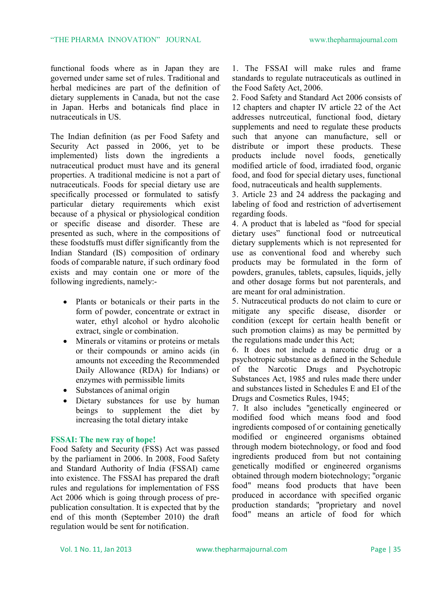functional foods where as in Japan they are governed under same set of rules. Traditional and herbal medicines are part of the definition of dietary supplements in Canada, but not the case in Japan. Herbs and botanicals find place in nutraceuticals in US.

The Indian definition (as per Food Safety and Security Act passed in 2006, yet to be implemented) lists down the ingredients a nutraceutical product must have and its general properties. A traditional medicine is not a part of nutraceuticals. Foods for special dietary use are specifically processed or formulated to satisfy particular dietary requirements which exist because of a physical or physiological condition or specific disease and disorder. These are presented as such, where in the compositions of these foodstuffs must differ significantly from the Indian Standard (IS) composition of ordinary foods of comparable nature, if such ordinary food exists and may contain one or more of the following ingredients, namely:-

- Plants or botanicals or their parts in the form of powder, concentrate or extract in water, ethyl alcohol or hydro alcoholic extract, single or combination.
- Minerals or vitamins or proteins or metals or their compounds or amino acids (in amounts not exceeding the Recommended Daily Allowance (RDA) for Indians) or enzymes with permissible limits
- Substances of animal origin
- Dietary substances for use by human beings to supplement the diet by increasing the total dietary intake

#### **FSSAI: The new ray of hope!**

Food Safety and Security (FSS) Act was passed by the parliament in 2006. In 2008, Food Safety and Standard Authority of India (FSSAI) came into existence. The FSSAI has prepared the draft rules and regulations for implementation of FSS Act 2006 which is going through process of prepublication consultation. It is expected that by the end of this month (September 2010) the draft regulation would be sent for notification.

1. The FSSAI will make rules and frame standards to regulate nutraceuticals as outlined in the Food Safety Act, 2006.

2. Food Safety and Standard Act 2006 consists of 12 chapters and chapter IV article 22 of the Act addresses nutrceutical, functional food, dietary supplements and need to regulate these products such that anyone can manufacture, sell or distribute or import these products. These products include novel foods, genetically modified article of food, irradiated food, organic food, and food for special dietary uses, functional food, nutraceuticals and health supplements.

3. Article 23 and 24 address the packaging and labeling of food and restriction of advertisement regarding foods.

4. A product that is labeled as "food for special dietary uses" functional food or nutrceutical dietary supplements which is not represented for use as conventional food and whereby such products may be formulated in the form of powders, granules, tablets, capsules, liquids, jelly and other dosage forms but not parenterals, and are meant for oral administration.

5. Nutraceutical products do not claim to cure or mitigate any specific disease, disorder or condition (except for certain health benefit or such promotion claims) as may be permitted by the regulations made under this Act;

6. It does not include a narcotic drug or a psychotropic substance as defined in the Schedule of the Narcotic Drugs and Psychotropic Substances Act, 1985 and rules made there under and substances listed in Schedules E and EI of the Drugs and Cosmetics Rules, 1945;

7. It also includes "genetically engineered or modified food which means food and food ingredients composed of or containing genetically modified or engineered organisms obtained through modern biotechnology, or food and food ingredients produced from but not containing genetically modified or engineered organisms obtained through modern biotechnology; "organic food" means food products that have been produced in accordance with specified organic production standards; "proprietary and novel food" means an article of food for which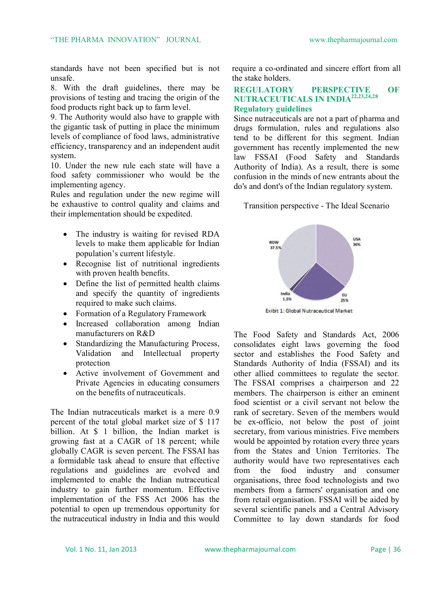standards have not been specified but is not unsafe.

8. With the draft guidelines, there may be provisions of testing and tracing the origin of the food products right back up to farm level.

9. The Authority would also have to grapple with the gigantic task of putting in place the minimum levels of compliance of food laws, administrative efficiency, transparency and an independent audit system.

10. Under the new rule each state will have a food safety commissioner who would be the implementing agency.

Rules and regulation under the new regime will be exhaustive to control quality and claims and their implementation should be expedited.

- The industry is waiting for revised RDA levels to make them applicable for Indian population's current lifestyle.
- Recognise list of nutritional ingredients with proven health benefits.
- Define the list of permitted health claims and specify the quantity of ingredients required to make such claims.
- Formation of a Regulatory Framework
- Increased collaboration among Indian manufacturers on R&D
- Standardizing the Manufacturing Process, Validation and Intellectual property protection
- Active involvement of Government and Private Agencies in educating consumers on the benefits of nutraceuticals.

The Indian nutraceuticals market is a mere 0.9 percent of the total global market size of \$ 117 billion. At \$ 1 billion, the Indian market is growing fast at a CAGR of 18 percent; while globally CAGR is seven percent. The FSSAI has a formidable task ahead to ensure that effective regulations and guidelines are evolved and implemented to enable the Indian nutraceutical industry to gain further momentum. Effective implementation of the FSS Act 2006 has the potential to open up tremendous opportunity for the nutraceutical industry in India and this would

require a co-ordinated and sincere effort from all the stake holders.

#### **REGULATORY PERSPECTIVE OF NUTRACEUTICALS IN INDIA22,23,24,28 Regulatory guidelines**

Since nutraceuticals are not a part of pharma and drugs formulation, rules and regulations also tend to be different for this segment. Indian government has recently implemented the new law FSSAI (Food Safety and Standards Authority of India). As a result, there is some confusion in the minds of new entrants about the do's and dont's of the Indian regulatory system.

Transition perspective - The Ideal Scenario



Exibit 1: Global Nutraceutical Market

The Food Safety and Standards Act, 2006 consolidates eight laws governing the food sector and establishes the Food Safety and Standards Authority of India (FSSAI) and its other allied committees to regulate the sector. The FSSAI comprises a chairperson and 22 members. The chairperson is either an eminent food scientist or a civil servant not below the rank of secretary. Seven of the members would be ex-officio, not below the post of joint secretary, from various ministries. Five members would be appointed by rotation every three years from the States and Union Territories. The authority would have two representatives each from the food industry and consumer organisations, three food technologists and two members from a farmers' organisation and one from retail organisation. FSSAI will be aided by several scientific panels and a Central Advisory Committee to lay down standards for food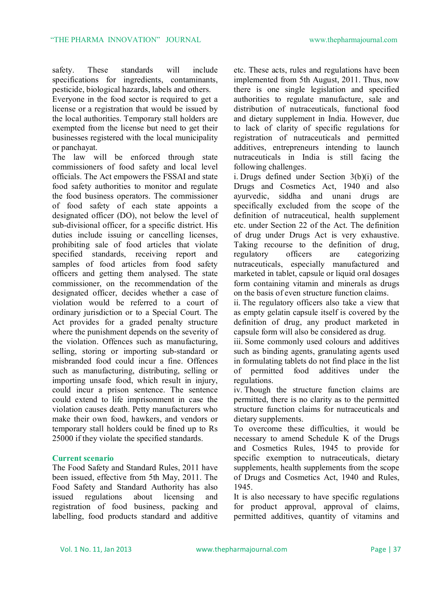safety. These standards will include specifications for ingredients, contaminants, pesticide, biological hazards, labels and others.

Everyone in the food sector is required to get a license or a registration that would be issued by the local authorities. Temporary stall holders are exempted from the license but need to get their businesses registered with the local municipality or panchayat.

The law will be enforced through state commissioners of food safety and local level officials. The Act empowers the FSSAI and state food safety authorities to monitor and regulate the food business operators. The commissioner of food safety of each state appoints a designated officer (DO), not below the level of sub-divisional officer, for a specific district. His duties include issuing or cancelling licenses, prohibiting sale of food articles that violate specified standards, receiving report and samples of food articles from food safety officers and getting them analysed. The state commissioner, on the recommendation of the designated officer, decides whether a case of violation would be referred to a court of ordinary jurisdiction or to a Special Court. The Act provides for a graded penalty structure where the punishment depends on the severity of the violation. Offences such as manufacturing, selling, storing or importing sub-standard or misbranded food could incur a fine. Offences such as manufacturing, distributing, selling or importing unsafe food, which result in injury, could incur a prison sentence. The sentence could extend to life imprisonment in case the violation causes death. Petty manufacturers who make their own food, hawkers, and vendors or temporary stall holders could be fined up to Rs 25000 if they violate the specified standards.

#### **Current scenario**

The Food Safety and Standard Rules, 2011 have been issued, effective from 5th May, 2011. The Food Safety and Standard Authority has also issued regulations about licensing and registration of food business, packing and labelling, food products standard and additive etc. These acts, rules and regulations have been implemented from 5th August, 2011. Thus, now there is one single legislation and specified authorities to regulate manufacture, sale and distribution of nutraceuticals, functional food and dietary supplement in India. However, due to lack of clarity of specific regulations for registration of nutraceuticals and permitted additives, entrepreneurs intending to launch nutraceuticals in India is still facing the following challenges.

i. Drugs defined under Section 3(b)(i) of the Drugs and Cosmetics Act, 1940 and also ayurvedic, siddha and unani drugs are specifically excluded from the scope of the definition of nutraceutical, health supplement etc. under Section 22 of the Act. The definition of drug under Drugs Act is very exhaustive. Taking recourse to the definition of drug, regulatory officers are categorizing nutraceuticals, especially manufactured and marketed in tablet, capsule or liquid oral dosages form containing vitamin and minerals as drugs on the basis of even structure function claims.

ii. The regulatory officers also take a view that as empty gelatin capsule itself is covered by the definition of drug, any product marketed in capsule form will also be considered as drug.

iii. Some commonly used colours and additives such as binding agents, granulating agents used in formulating tablets do not find place in the list of permitted food additives under the regulations.

iv. Though the structure function claims are permitted, there is no clarity as to the permitted structure function claims for nutraceuticals and dietary supplements.

To overcome these difficulties, it would be necessary to amend Schedule K of the Drugs and Cosmetics Rules, 1945 to provide for specific exemption to nutraceuticals, dietary supplements, health supplements from the scope of Drugs and Cosmetics Act, 1940 and Rules, 1945.

It is also necessary to have specific regulations for product approval, approval of claims, permitted additives, quantity of vitamins and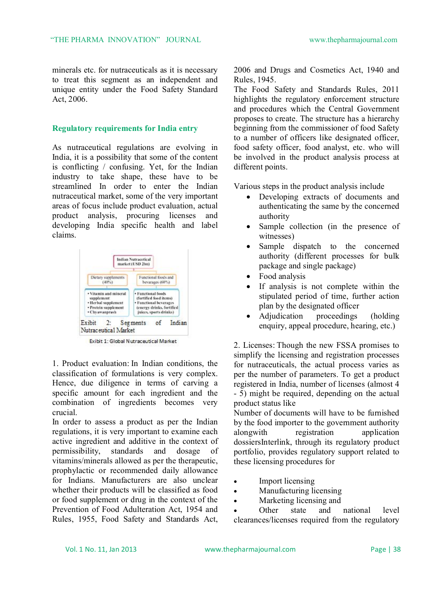minerals etc. for nutraceuticals as it is necessary to treat this segment as an independent and unique entity under the Food Safety Standard Act, 2006.

#### **Regulatory requirements for India entry**

As nutraceutical regulations are evolving in India, it is a possibility that some of the content is conflicting / confusing. Yet, for the Indian industry to take shape, these have to be streamlined In order to enter the Indian nutraceutical market, some of the very important areas of focus include product evaluation, actual product analysis, procuring licenses and developing India specific health and label claims.



**Exibit 1: Global Nutraceutical Market** 

1. Product evaluation: In Indian conditions, the classification of formulations is very complex. Hence, due diligence in terms of carving a specific amount for each ingredient and the combination of ingredients becomes very crucial.

In order to assess a product as per the Indian regulations, it is very important to examine each active ingredient and additive in the context of permissibility, standards and dosage of vitamins/minerals allowed as per the therapeutic, prophylactic or recommended daily allowance for Indians. Manufacturers are also unclear whether their products will be classified as food or food supplement or drug in the context of the Prevention of Food Adulteration Act, 1954 and Rules, 1955, Food Safety and Standards Act, 2006 and Drugs and Cosmetics Act, 1940 and Rules, 1945.

The Food Safety and Standards Rules, 2011 highlights the regulatory enforcement structure and procedures which the Central Government proposes to create. The structure has a hierarchy beginning from the commissioner of food Safety to a number of officers like designated officer, food safety officer, food analyst, etc. who will be involved in the product analysis process at different points.

Various steps in the product analysis include

- Developing extracts of documents and authenticating the same by the concerned authority
- Sample collection (in the presence of witnesses)
- Sample dispatch to the concerned authority (different processes for bulk package and single package)
- Food analysis
- If analysis is not complete within the stipulated period of time, further action plan by the designated officer
- Adjudication proceedings (holding enquiry, appeal procedure, hearing, etc.)

2. Licenses: Though the new FSSA promises to simplify the licensing and registration processes for nutraceuticals, the actual process varies as per the number of parameters. To get a product registered in India, number of licenses (almost 4 - 5) might be required, depending on the actual product status like

Number of documents will have to be furnished by the food importer to the government authority alongwith registration application dossiersInterlink, through its regulatory product portfolio, provides regulatory support related to these licensing procedures for

- Import licensing
- Manufacturing licensing
- Marketing licensing and

 Other state and national level clearances/licenses required from the regulatory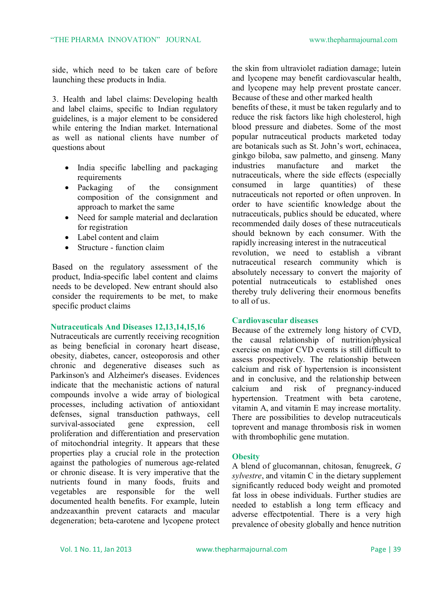side, which need to be taken care of before launching these products in India.

3. Health and label claims: Developing health and label claims, specific to Indian regulatory guidelines, is a major element to be considered while entering the Indian market. International as well as national clients have number of questions about

- India specific labelling and packaging requirements
- Packaging of the consignment composition of the consignment and approach to market the same
- Need for sample material and declaration for registration
- Label content and claim
- Structure function claim

Based on the regulatory assessment of the product, India-specific label content and claims needs to be developed. New entrant should also consider the requirements to be met, to make specific product claims

#### **Nutraceuticals And Diseases 12,13,14,15,16**

Nutraceuticals are currently receiving recognition as being beneficial in coronary heart disease, obesity, diabetes, cancer, osteoporosis and other chronic and degenerative diseases such as Parkinson's and Alzheimer's diseases. Evidences indicate that the mechanistic actions of natural compounds involve a wide array of biological processes, including activation of antioxidant defenses, signal transduction pathways, cell survival-associated gene expression, cell proliferation and differentiation and preservation of mitochondrial integrity. It appears that these properties play a crucial role in the protection against the pathologies of numerous age-related or chronic disease. It is very imperative that the nutrients found in many foods, fruits and vegetables are responsible for the well documented health benefits. For example, lutein andzeaxanthin prevent cataracts and macular degeneration; beta-carotene and lycopene protect the skin from ultraviolet radiation damage; lutein and lycopene may benefit cardiovascular health, and lycopene may help prevent prostate cancer. Because of these and other marked health

benefits of these, it must be taken regularly and to reduce the risk factors like high cholesterol, high blood pressure and diabetes. Some of the most popular nutraceutical products marketed today are botanicals such as St. John's wort, echinacea, ginkgo biloba, saw palmetto, and ginseng. Many industries manufacture and market the nutraceuticals, where the side effects (especially consumed in large quantities) of these nutraceuticals not reported or often unproven. In order to have scientific knowledge about the nutraceuticals, publics should be educated, where recommended daily doses of these nutraceuticals should beknown by each consumer. With the rapidly increasing interest in the nutraceutical

revolution, we need to establish a vibrant nutraceutical research community which is absolutely necessary to convert the majority of potential nutraceuticals to established ones thereby truly delivering their enormous benefits to all of us.

#### **Cardiovascular diseases**

Because of the extremely long history of CVD, the causal relationship of nutrition/physical exercise on major CVD events is still difficult to assess prospectively. The relationship between calcium and risk of hypertension is inconsistent and in conclusive, and the relationship between calcium and risk of pregnancy-induced hypertension. Treatment with beta carotene, vitamin A, and vitamin E may increase mortality. There are possibilities to develop nutraceuticals toprevent and manage thrombosis risk in women with thrombophilic gene mutation.

#### **Obesity**

A blend of glucomannan, chitosan, fenugreek, *G sylvestre*, and vitamin C in the dietary supplement significantly reduced body weight and promoted fat loss in obese individuals. Further studies are needed to establish a long term efficacy and adverse effectpotential. There is a very high prevalence of obesity globally and hence nutrition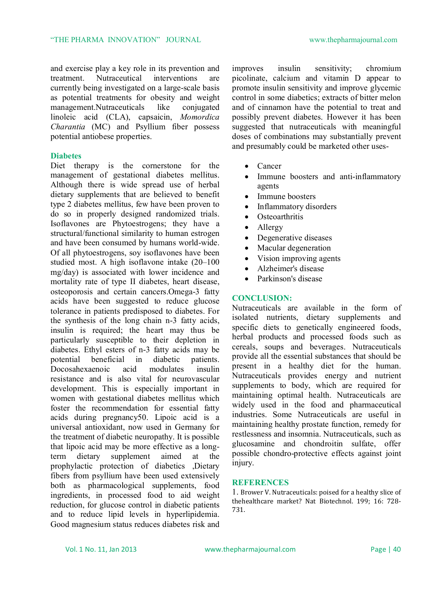and exercise play a key role in its prevention and treatment. Nutraceutical interventions are currently being investigated on a large-scale basis as potential treatments for obesity and weight management.Nutraceuticals like conjugated linoleic acid (CLA), capsaicin, *Momordica Charantia* (MC) and Psyllium fiber possess potential antiobese properties.

#### **Diabetes**

Diet therapy is the cornerstone for the management of gestational diabetes mellitus. Although there is wide spread use of herbal dietary supplements that are believed to benefit type 2 diabetes mellitus, few have been proven to do so in properly designed randomized trials. Isoflavones are Phytoestrogens; they have a structural/functional similarity to human estrogen and have been consumed by humans world-wide. Of all phytoestrogens, soy isoflavones have been studied most. A high isoflavone intake (20–100 mg/day) is associated with lower incidence and mortality rate of type II diabetes, heart disease, osteoporosis and certain cancers.Omega-3 fatty acids have been suggested to reduce glucose tolerance in patients predisposed to diabetes. For the synthesis of the long chain n-3 fatty acids, insulin is required; the heart may thus be particularly susceptible to their depletion in diabetes. Ethyl esters of n-3 fatty acids may be potential beneficial in diabetic patients. Docosahexaenoic acid modulates insulin resistance and is also vital for neurovascular development. This is especially important in women with gestational diabetes mellitus which foster the recommendation for essential fatty acids during pregnancy50. Lipoic acid is a universal antioxidant, now used in Germany for the treatment of diabetic neuropathy. It is possible that lipoic acid may be more effective as a longterm dietary supplement aimed at the prophylactic protection of diabetics ,Dietary fibers from psyllium have been used extensively both as pharmacological supplements, food ingredients, in processed food to aid weight reduction, for glucose control in diabetic patients and to reduce lipid levels in hyperlipidemia. Good magnesium status reduces diabetes risk and improves insulin sensitivity; chromium picolinate, calcium and vitamin D appear to promote insulin sensitivity and improve glycemic control in some diabetics; extracts of bitter melon and of cinnamon have the potential to treat and possibly prevent diabetes. However it has been suggested that nutraceuticals with meaningful doses of combinations may substantially prevent and presumably could be marketed other uses-

- Cancer
- Immune boosters and anti-inflammatory agents
- Immune boosters
- Inflammatory disorders
- Osteoarthritis
- Allergy
- Degenerative diseases
- Macular degeneration
- Vision improving agents
- Alzheimer's disease
- Parkinson's disease

#### **CONCLUSION:**

Nutraceuticals are available in the form of isolated nutrients, dietary supplements and specific diets to genetically engineered foods, herbal products and processed foods such as cereals, soups and beverages. Nutraceuticals provide all the essential substances that should be present in a healthy diet for the human. Nutraceuticals provides energy and nutrient supplements to body, which are required for maintaining optimal health. Nutraceuticals are widely used in the food and pharmaceutical industries. Some Nutraceuticals are useful in maintaining healthy prostate function, remedy for restlessness and insomnia. Nutraceuticals, such as glucosamine and chondroitin sulfate, offer possible chondro-protective effects against joint injury.

#### **REFERENCES**

1. Brower V. Nutraceuticals: poised for a healthy slice of thehealthcare market? Nat Biotechnol. 199; 16: 728- 731.